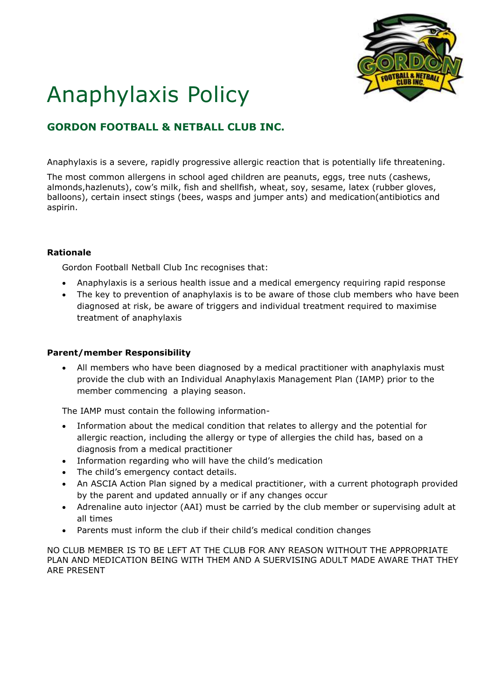

# Anaphylaxis Policy

# **GORDON FOOTBALL & NETBALL CLUB INC.**

Anaphylaxis is a severe, rapidly progressive allergic reaction that is potentially life threatening.

The most common allergens in school aged children are peanuts, eggs, tree nuts (cashews, almonds,hazlenuts), cow's milk, fish and shellfish, wheat, soy, sesame, latex (rubber gloves, balloons), certain insect stings (bees, wasps and jumper ants) and medication(antibiotics and aspirin.

## **Rationale**

Gordon Football Netball Club Inc recognises that:

- Anaphylaxis is a serious health issue and a medical emergency requiring rapid response
- The key to prevention of anaphylaxis is to be aware of those club members who have been diagnosed at risk, be aware of triggers and individual treatment required to maximise treatment of anaphylaxis

## **Parent/member Responsibility**

 All members who have been diagnosed by a medical practitioner with anaphylaxis must provide the club with an Individual Anaphylaxis Management Plan (IAMP) prior to the member commencing a playing season.

The IAMP must contain the following information-

- Information about the medical condition that relates to allergy and the potential for allergic reaction, including the allergy or type of allergies the child has, based on a diagnosis from a medical practitioner
- Information regarding who will have the child's medication
- The child's emergency contact details.
- An ASCIA Action Plan signed by a medical practitioner, with a current photograph provided by the parent and updated annually or if any changes occur
- Adrenaline auto injector (AAI) must be carried by the club member or supervising adult at all times
- Parents must inform the club if their child's medical condition changes

NO CLUB MEMBER IS TO BE LEFT AT THE CLUB FOR ANY REASON WITHOUT THE APPROPRIATE PLAN AND MEDICATION BEING WITH THEM AND A SUERVISING ADULT MADE AWARE THAT THEY ARE PRESENT